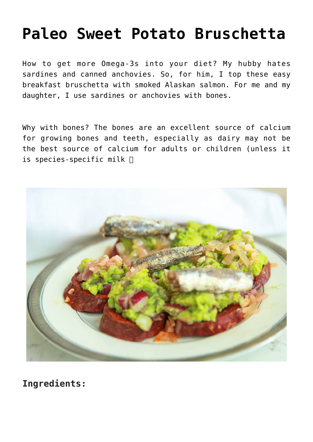## **[Paleo Sweet Potato Bruschetta](https://sproutshealth.com/paleo-sweet-potato-bruschetta/)**

How to get more Omega-3s into your diet? My hubby hates sardines and canned anchovies. So, for him, I top these easy breakfast bruschetta with smoked Alaskan salmon. For me and my daughter, I use sardines or anchovies with bones.

Why with bones? The bones are an excellent source of calcium for growing bones and teeth, especially as dairy may not be the best source of calcium for adults or children (unless it is species-specific milk



**Ingredients:**